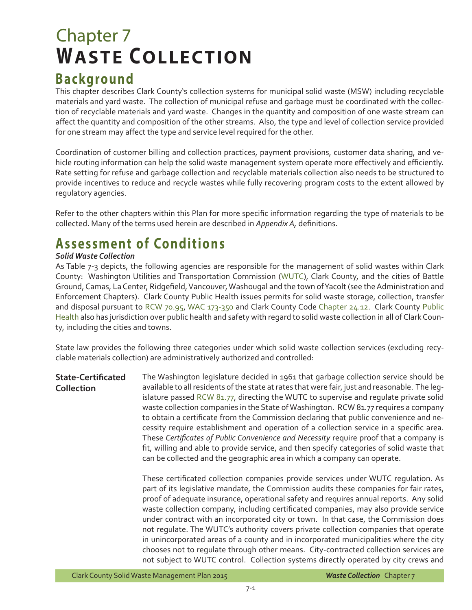# Chapter 7 **WASTE COLLECTION**

## **Background**

This chapter describes Clark County's collection systems for municipal solid waste (MSW) including recyclable materials and yard waste. The collection of municipal refuse and garbage must be coordinated with the collection of recyclable materials and yard waste. Changes in the quantity and composition of one waste stream can affect the quantity and composition of the other streams. Also, the type and level of collection service provided for one stream may affect the type and service level required for the other.

Coordination of customer billing and collection practices, payment provisions, customer data sharing, and vehicle routing information can help the solid waste management system operate more effectively and efficiently. Rate setting for refuse and garbage collection and recyclable materials collection also needs to be structured to provide incentives to reduce and recycle wastes while fully recovering program costs to the extent allowed by regulatory agencies.

Refer to the other chapters within this Plan for more specific information regarding the type of materials to be collected. Many of the terms used herein are described in *Appendix A,* definitions.

## **Assessment of Conditions**

### *Solid Waste Collection*

As Table 7-3 depicts, the following agencies are responsible for the management of solid wastes within Clark County: Washington Utilities and Transportation Commission ([WUTC](http://www.utc.wa.gov/Pages/default.aspx)), Clark County, and the cities of Battle Ground, Camas, La Center, Ridgefield, Vancouver, Washougal and the town of Yacolt (see the Administration and Enforcement Chapters). Clark County Public Health issues permits for solid waste storage, collection, transfer and disposal pursuant to [RCW 70.95](http://apps.leg.wa.gov/rcw/default.aspx?cite=70.95), [WAC 173-350](http://apps.leg.wa.gov/wac/default.aspx?cite=173-350) and Clark County Code [Chapter 24.12.](http://www.codepublishing.com/wa/clarkcounty.html) Clark County [Public](http://www.clark.wa.gov/public-health/Index.asp) [Health](http://www.clark.wa.gov/public-health/Index.asp) also has jurisdiction over public health and safety with regard to solid waste collection in all of Clark County, including the cities and towns.

State law provides the following three categories under which solid waste collection services (excluding recyclable materials collection) are administratively authorized and controlled:

**State-Certificated Collection** The Washington legislature decided in 1961 that garbage collection service should be available to all residents of the state at rates that were fair, just and reasonable. The legislature passed [RCW 81.77](http://apps.leg.wa.gov/rcw/default.aspx?cite=81.77), directing the WUTC to supervise and regulate private solid waste collection companies in the State of Washington. RCW 81.77 requires a company to obtain a certificate from the Commission declaring that public convenience and necessity require establishment and operation of a collection service in a specific area. These *Certificates of Public Convenience and Necessity* require proof that a company is fit, willing and able to provide service, and then specify categories of solid waste that can be collected and the geographic area in which a company can operate.

> These certificated collection companies provide services under WUTC regulation. As part of its legislative mandate, the Commission audits these companies for fair rates, proof of adequate insurance, operational safety and requires annual reports. Any solid waste collection company, including certificated companies, may also provide service under contract with an incorporated city or town. In that case, the Commission does not regulate. The WUTC's authority covers private collection companies that operate in unincorporated areas of a county and in incorporated municipalities where the city chooses not to regulate through other means. City-contracted collection services are not subject to WUTC control. Collection systems directly operated by city crews and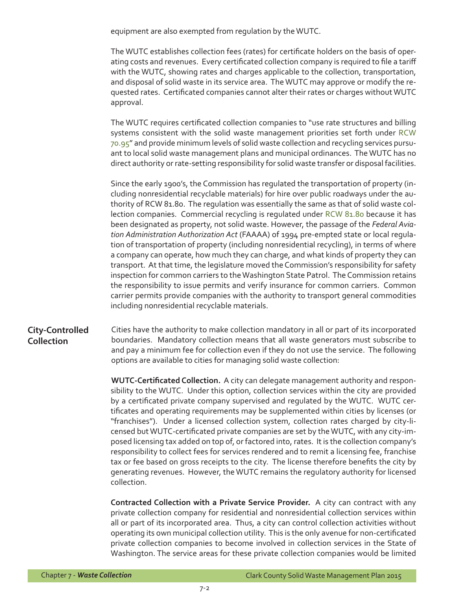equipment are also exempted from regulation by the WUTC.

The WUTC establishes collection fees (rates) for certificate holders on the basis of operating costs and revenues. Every certificated collection company is required to file a tariff with the WUTC, showing rates and charges applicable to the collection, transportation, and disposal of solid waste in its service area. The WUTC may approve or modify the requested rates. Certificated companies cannot alter their rates or charges without WUTC approval.

The WUTC requires certificated collection companies to "use rate structures and billing systems consistent with the solid waste management priorities set forth under [RCW](http://apps.leg.wa.gov/rcw/default.aspx?cite=70.95) [70.95](http://apps.leg.wa.gov/rcw/default.aspx?cite=70.95)" and provide minimum levels of solid waste collection and recycling services pursuant to local solid waste management plans and municipal ordinances. The WUTC has no direct authority or rate-setting responsibility for solid waste transfer or disposal facilities.

Since the early 1900's, the Commission has regulated the transportation of property (including nonresidential recyclable materials) for hire over public roadways under the authority of RCW 81.80. The regulation was essentially the same as that of solid waste collection companies. Commercial recycling is regulated under [RCW 81.80](http://apps.leg.wa.gov/rcw/default.aspx?cite=81.80) because it has been designated as property, not solid waste. However, the passage of the *Federal Aviation Administration Authorization Act* (FAAAA) of 1994 pre-empted state or local regulation of transportation of property (including nonresidential recycling), in terms of where a company can operate, how much they can charge, and what kinds of property they can transport. At that time, the legislature moved the Commission's responsibility for safety inspection for common carriers to the Washington State Patrol. The Commission retains the responsibility to issue permits and verify insurance for common carriers. Common carrier permits provide companies with the authority to transport general commodities including nonresidential recyclable materials.

#### **City-Controlled Collection**

Cities have the authority to make collection mandatory in all or part of its incorporated boundaries. Mandatory collection means that all waste generators must subscribe to and pay a minimum fee for collection even if they do not use the service. The following options are available to cities for managing solid waste collection:

**WUTC-Certificated Collection.** A city can delegate management authority and responsibility to the WUTC. Under this option, collection services within the city are provided by a certificated private company supervised and regulated by the WUTC. WUTC certificates and operating requirements may be supplemented within cities by licenses (or "franchises"). Under a licensed collection system, collection rates charged by city-licensed but WUTC-certificated private companies are set by the WUTC, with any city-imposed licensing tax added on top of, or factored into, rates. It is the collection company's responsibility to collect fees for services rendered and to remit a licensing fee, franchise tax or fee based on gross receipts to the city. The license therefore benefits the city by generating revenues. However, the WUTC remains the regulatory authority for licensed collection.

**Contracted Collection with a Private Service Provider.** A city can contract with any private collection company for residential and nonresidential collection services within all or part of its incorporated area. Thus, a city can control collection activities without operating its own municipal collection utility. This is the only avenue for non-certificated private collection companies to become involved in collection services in the State of Washington. The service areas for these private collection companies would be limited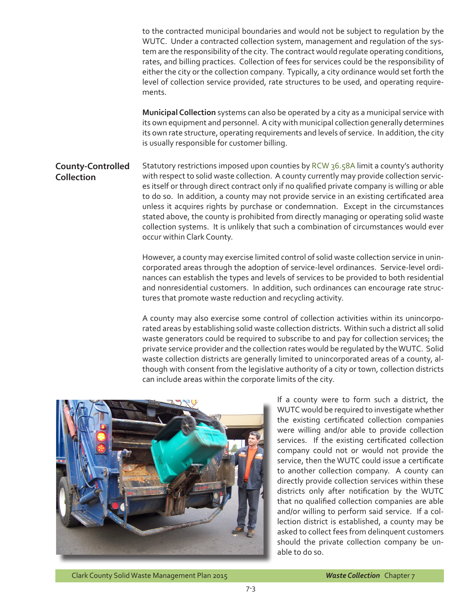to the contracted municipal boundaries and would not be subject to regulation by the WUTC. Under a contracted collection system, management and regulation of the system are the responsibility of the city. The contract would regulate operating conditions, rates, and billing practices. Collection of fees for services could be the responsibility of either the city or the collection company. Typically, a city ordinance would set forth the level of collection service provided, rate structures to be used, and operating requirements.

**Municipal Collection** systems can also be operated by a city as a municipal service with its own equipment and personnel. A city with municipal collection generally determines its own rate structure, operating requirements and levels of service. In addition, the city is usually responsible for customer billing.

#### **County-Controlled Collection** Statutory restrictions imposed upon counties by [RCW 36.58A](http://apps.leg.wa.gov/rcw/default.aspx?cite=36.58A) limit a county's authority with respect to solid waste collection. A county currently may provide collection services itself or through direct contract only if no qualified private company is willing or able to do so. In addition, a county may not provide service in an existing certificated area unless it acquires rights by purchase or condemnation. Except in the circumstances stated above, the county is prohibited from directly managing or operating solid waste collection systems. It is unlikely that such a combination of circumstances would ever occur within Clark County.

However, a county may exercise limited control of solid waste collection service in unincorporated areas through the adoption of service-level ordinances. Service-level ordinances can establish the types and levels of services to be provided to both residential and nonresidential customers. In addition, such ordinances can encourage rate structures that promote waste reduction and recycling activity.

A county may also exercise some control of collection activities within its unincorporated areas by establishing solid waste collection districts. Within such a district all solid waste generators could be required to subscribe to and pay for collection services; the private service provider and the collection rates would be regulated by the WUTC. Solid waste collection districts are generally limited to unincorporated areas of a county, although with consent from the legislative authority of a city or town, collection districts can include areas within the corporate limits of the city.



If a county were to form such a district, the WUTC would be required to investigate whether the existing certificated collection companies were willing and/or able to provide collection services. If the existing certificated collection company could not or would not provide the service, then the WUTC could issue a certificate to another collection company. A county can directly provide collection services within these districts only after notification by the WUTC that no qualified collection companies are able and/or willing to perform said service. If a collection district is established, a county may be asked to collect fees from delinquent customers should the private collection company be unable to do so.

Clark County Solid Waste Management Plan 2015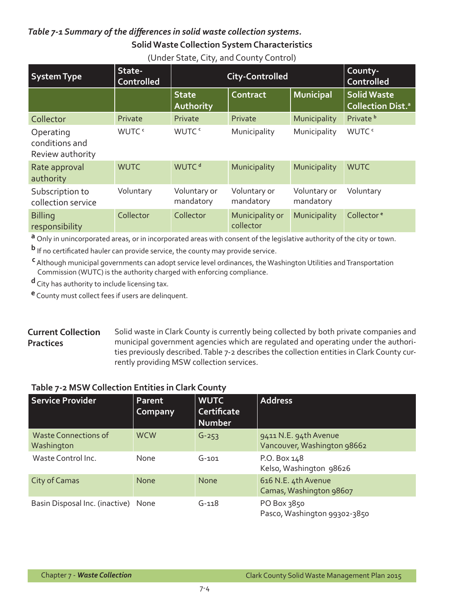## *Table 7-1 Summary of the differences in solid waste collection systems.* **Solid Waste Collection System Characteristics**

| <b>System Type</b>                              | State-<br><b>Controlled</b> | <b>City-Controlled</b>    | County-<br>Controlled        |                           |                                                            |
|-------------------------------------------------|-----------------------------|---------------------------|------------------------------|---------------------------|------------------------------------------------------------|
|                                                 |                             | <b>State</b><br>Authority | Contract                     | Municipal                 | <b>Solid Waste</b><br><b>Collection Dist.</b> <sup>a</sup> |
| Collector                                       | Private                     | Private                   | Private                      | Municipality              | Private <sup>b</sup>                                       |
| Operating<br>conditions and<br>Review authority | WUTC <sup>c</sup>           | WUTC <sup>c</sup>         | Municipality                 | Municipality              | WUTC <sup>c</sup>                                          |
| Rate approval<br>authority                      | <b>WUTC</b>                 | WUTC <sup>d</sup>         | Municipality                 | Municipality              | <b>WUTC</b>                                                |
| Subscription to<br>collection service           | Voluntary                   | Voluntary or<br>mandatory | Voluntary or<br>mandatory    | Voluntary or<br>mandatory | Voluntary                                                  |
| <b>Billing</b><br>responsibility                | Collector                   | Collector                 | Municipality or<br>collector | Municipality              | Collector <sup>e</sup>                                     |

(Under State, City, and County Control)

**a** Only in unincorporated areas, or in incorporated areas with consent of the legislative authority of the city or town.

**b** If no certificated hauler can provide service, the county may provide service.

**c** Although municipal governments can adopt service level ordinances, the Washington Utilities and Transportation Commission (WUTC) is the authority charged with enforcing compliance.

**d** City has authority to include licensing tax.

**e** County must collect fees if users are delinquent.

#### **Current Collection Practices** Solid waste in Clark County is currently being collected by both private companies and municipal government agencies which are regulated and operating under the authorities previously described. Table 7-2 describes the collection entities in Clark County currently providing MSW collection services.

### **Table 7-2 MSW Collection Entities in Clark County**

| Service Provider                          | Parent<br>Company | <b>WUTC</b><br><b>Certificate</b><br><b>Number</b> | <b>Address</b>                                       |
|-------------------------------------------|-------------------|----------------------------------------------------|------------------------------------------------------|
| <b>Waste Connections of</b><br>Washington | <b>WCW</b>        | $G - 253$                                          | 9411 N.E. 94th Avenue<br>Vancouver, Washington 98662 |
| Waste Control Inc.                        | None              | $G-101$                                            | P.O. Box 148<br>Kelso, Washington 98626              |
| City of Camas                             | <b>None</b>       | <b>None</b>                                        | 616 N.E. 4th Avenue<br>Camas, Washington 98607       |
| Basin Disposal Inc. (inactive) None       |                   | $G - 118$                                          | PO Box 3850<br>Pasco, Washington 99302-3850          |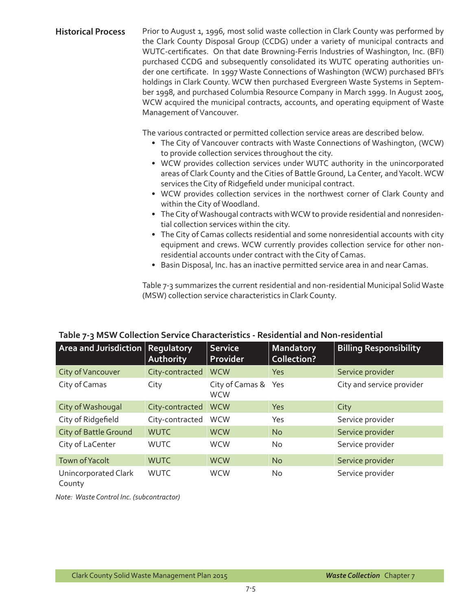#### Historical Process Prior to August 1, 1996, most solid waste collection in Clark County was performed by the Clark County Disposal Group (CCDG) under a variety of municipal contracts and WUTC-certificates. On that date Browning-Ferris Industries of Washington, Inc. (BFI) purchased CCDG and subsequently consolidated its WUTC operating authorities under one certificate. In 1997 Waste Connections of Washington (WCW) purchased BFI's holdings in Clark County. WCW then purchased Evergreen Waste Systems in September 1998, and purchased Columbia Resource Company in March 1999. In August 2005, WCW acquired the municipal contracts, accounts, and operating equipment of Waste Management of Vancouver.

The various contracted or permitted collection service areas are described below.

- The City of Vancouver contracts with Waste Connections of Washington, (WCW) to provide collection services throughout the city.
- WCW provides collection services under WUTC authority in the unincorporated areas of Clark County and the Cities of Battle Ground, La Center, and Yacolt. WCW services the City of Ridgefield under municipal contract.
- WCW provides collection services in the northwest corner of Clark County and within the City of Woodland.
- The City of Washougal contracts with WCW to provide residential and nonresidential collection services within the city.
- The City of Camas collects residential and some nonresidential accounts with city equipment and crews. WCW currently provides collection service for other nonresidential accounts under contract with the City of Camas.
- Basin Disposal, Inc. has an inactive permitted service area in and near Camas.

Table 7-3 summarizes the current residential and non-residential Municipal Solid Waste (MSW) collection service characteristics in Clark County.

#### **Area and Jurisdiction Regulatory Authority Service Provider Mandatory Collection? Billing Responsibility** City of Vancouver City-contracted WCW Yes Service provider City of Camas City City City of Camas & Yes **WCW** City and service provider City of Washougal City-contracted WCW Yes City City of Ridgefield City-contracted WCW Yes Service provider City of Battle Ground WUTC WCW No Service provider City of LaCenter WUTC WCW No Service provider Town of Yacolt WUTC WCW No Service provider Unincorporated Clark County WUTC WCW No Service provider

### **Table 7-3 MSW Collection Service Characteristics - Residential and Non-residential**

*Note: Waste Control Inc. (subcontractor)*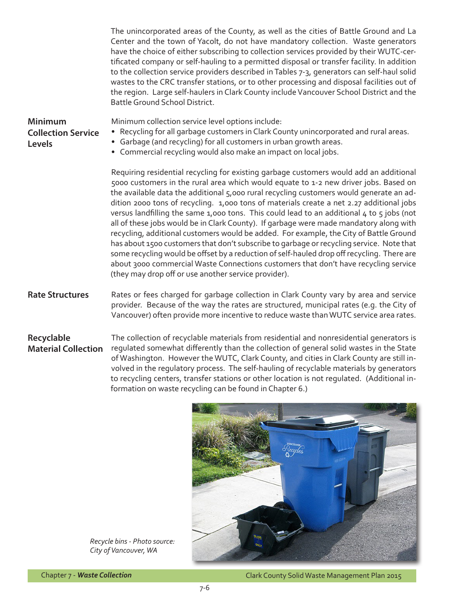The unincorporated areas of the County, as well as the cities of Battle Ground and La Center and the town of Yacolt, do not have mandatory collection. Waste generators have the choice of either subscribing to collection services provided by their WUTC-certificated company or self-hauling to a permitted disposal or transfer facility. In addition to the collection service providers described in Tables 7-3, generators can self-haul solid wastes to the CRC transfer stations, or to other processing and disposal facilities out of the region. Large self-haulers in Clark County include Vancouver School District and the Battle Ground School District. Rates or fees charged for garbage collection in Clark County vary by area and service provider. Because of the way the rates are structured, municipal rates (e.g. the City of Vancouver) often provide more incentive to reduce waste than WUTC service area rates. The collection of recyclable materials from residential and nonresidential generators is regulated somewhat differently than the collection of general solid wastes in the State of Washington. However the WUTC, Clark County, and cities in Clark County are still in-**Rate Structures Minimum Collection Service Levels Recyclable Material Collection** Minimum collection service level options include: • Recycling for all garbage customers in Clark County unincorporated and rural areas. • Garbage (and recycling) for all customers in urban growth areas. • Commercial recycling would also make an impact on local jobs. Requiring residential recycling for existing garbage customers would add an additional 5000 customers in the rural area which would equate to 1-2 new driver jobs. Based on the available data the additional 5,000 rural recycling customers would generate an addition 2000 tons of recycling. 1,000 tons of materials create a net 2.27 additional jobs versus landfilling the same 1,000 tons. This could lead to an additional 4 to 5 jobs (not all of these jobs would be in Clark County). If garbage were made mandatory along with recycling, additional customers would be added. For example, the City of Battle Ground has about 1500 customers that don't subscribe to garbage or recycling service. Note that some recycling would be offset by a reduction of self-hauled drop off recycling. There are about 3000 commercial Waste Connections customers that don't have recycling service (they may drop off or use another service provider).



volved in the regulatory process. The self-hauling of recyclable materials by generators to recycling centers, transfer stations or other location is not regulated. (Additional in-

*Recycle bins - Photo source: City of Vancouver, WA*

Chapter 7 - *Waste Collection*

Clark County Solid Waste Management Plan 2015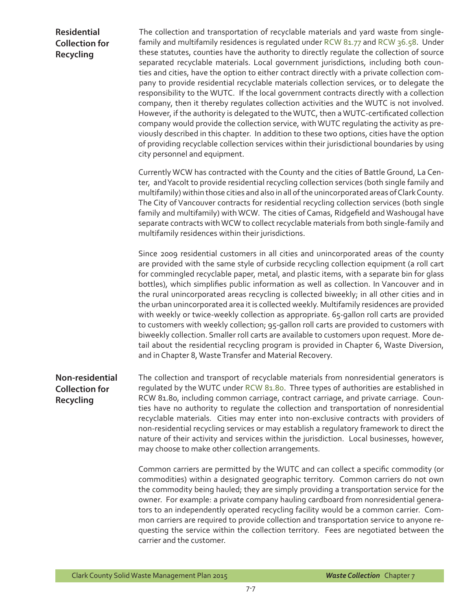### **Residential Collection for Recycling**

The collection and transportation of recyclable materials and yard waste from singlefamily and multifamily residences is regulated under [RCW 81.77](http://apps.leg.wa.gov/rcw/default.aspx?cite=81.77) and [RCW 36.58](http://apps.leg.wa.gov/RCW/default.aspx?cite=36.58). Under these statutes, counties have the authority to directly regulate the collection of source separated recyclable materials. Local government jurisdictions, including both counties and cities, have the option to either contract directly with a private collection company to provide residential recyclable materials collection services, or to delegate the responsibility to the WUTC. If the local government contracts directly with a collection company, then it thereby regulates collection activities and the WUTC is not involved. However, if the authority is delegated to the WUTC, then a WUTC-certificated collection company would provide the collection service, with WUTC regulating the activity as previously described in this chapter. In addition to these two options, cities have the option of providing recyclable collection services within their jurisdictional boundaries by using city personnel and equipment.

Currently WCW has contracted with the County and the cities of Battle Ground, La Center, and Yacolt to provide residential recycling collection services (both single family and multifamily) within those cities and also in all of the unincorporated areas of Clark County. The City of Vancouver contracts for residential recycling collection services (both single family and multifamily) with WCW. The cities of Camas, Ridgefield and Washougal have separate contracts with WCW to collect recyclable materials from both single-family and multifamily residences within their jurisdictions.

Since 2009 residential customers in all cities and unincorporated areas of the county are provided with the same style of curbside recycling collection equipment (a roll cart for commingled recyclable paper, metal, and plastic items, with a separate bin for glass bottles), which simplifies public information as well as collection. In Vancouver and in the rural unincorporated areas recycling is collected biweekly; in all other cities and in the urban unincorporated area it is collected weekly. Multifamily residences are provided with weekly or twice-weekly collection as appropriate. 65-gallon roll carts are provided to customers with weekly collection; 95-gallon roll carts are provided to customers with biweekly collection. Smaller roll carts are available to customers upon request. More detail about the residential recycling program is provided in Chapter 6, Waste Diversion, and in Chapter 8, Waste Transfer and Material Recovery.

**Non-residential Collection for Recycling** The collection and transport of recyclable materials from nonresidential generators is regulated by the WUTC under [RCW 81.80](http://apps.leg.wa.gov/rcw/default.aspx?cite=81.80). Three types of authorities are established in RCW 81.80, including common carriage, contract carriage, and private carriage. Counties have no authority to regulate the collection and transportation of nonresidential recyclable materials. Cities may enter into non-exclusive contracts with providers of non-residential recycling services or may establish a regulatory framework to direct the nature of their activity and services within the jurisdiction. Local businesses, however, may choose to make other collection arrangements.

> Common carriers are permitted by the WUTC and can collect a specific commodity (or commodities) within a designated geographic territory. Common carriers do not own the commodity being hauled; they are simply providing a transportation service for the owner. For example: a private company hauling cardboard from nonresidential generators to an independently operated recycling facility would be a common carrier. Common carriers are required to provide collection and transportation service to anyone requesting the service within the collection territory. Fees are negotiated between the carrier and the customer.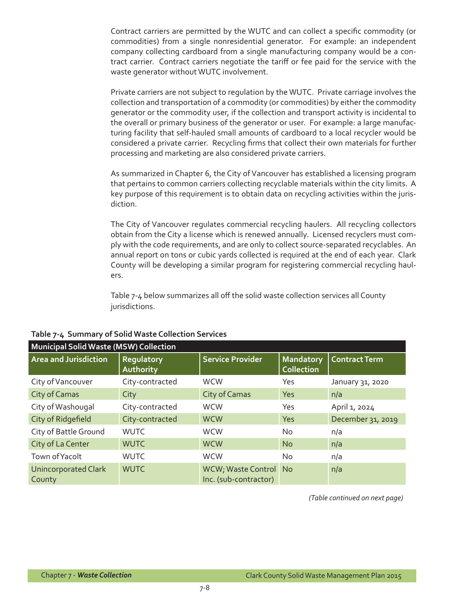Contract carriers are permitted by the WUTC and can collect a specific commodity (or commodities) from a single nonresidential generator. For example: an independent company collecting cardboard from a single manufacturing company would be a contract carrier. Contract carriers negotiate the tariff or fee paid for the service with the waste generator without WUTC involvement.

Private carriers are not subject to regulation by the WUTC. Private carriage involves the collection and transportation of a commodity (or commodities) by either the commodity generator or the commodity user, if the collection and transport activity is incidental to the overall or primary business of the generator or user. For example: a large manufacturing facility that self-hauled small amounts of cardboard to a local recycler would be considered a private carrier. Recycling firms that collect their own materials for further processing and marketing are also considered private carriers.

As summarized in Chapter 6, the City of Vancouver has established a licensing program that pertains to common carriers collecting recyclable materials within the city limits. A key purpose of this requirement is to obtain data on recycling activities within the jurisdiction.

The City of Vancouver regulates commercial recycling haulers. All recycling collectors obtain from the City a license which is renewed annually. Licensed recyclers must comply with the code requirements, and are only to collect source-separated recyclables. An annual report on tons or cubic yards collected is required at the end of each year. Clark County will be developing a similar program for registering commercial recycling haulers.

Table 7-4 below summarizes all off the solid waste collection services all County jurisdictions.

| <b>Municipal Solid Waste (MSW) Collection</b> |                         |                                                |                                       |                      |  |  |
|-----------------------------------------------|-------------------------|------------------------------------------------|---------------------------------------|----------------------|--|--|
| <b>Area and Jurisdiction</b>                  | Regulatory<br>Authority | <b>Service Provider</b>                        | <b>Mandatory</b><br><b>Collection</b> | <b>Contract Term</b> |  |  |
| City of Vancouver                             | City-contracted         | <b>WCW</b>                                     | Yes                                   | January 31, 2020     |  |  |
| City of Camas                                 | City                    | City of Camas                                  | <b>Yes</b>                            | n/a                  |  |  |
| City of Washougal                             | City-contracted         | <b>WCW</b>                                     | Yes                                   | April 1, 2024        |  |  |
| City of Ridgefield                            | City-contracted         | <b>WCW</b>                                     | Yes                                   | December 31, 2019    |  |  |
| City of Battle Ground                         | <b>WUTC</b>             | <b>WCW</b>                                     | <b>No</b>                             | n/a                  |  |  |
| City of La Center                             | <b>WUTC</b>             | <b>WCW</b>                                     | N <sub>o</sub>                        | n/a                  |  |  |
| Town of Yacolt                                | <b>WUTC</b>             | <b>WCW</b>                                     | No.                                   | n/a                  |  |  |
| <b>Unincorporated Clark</b><br>County         | <b>WUTC</b>             | WCW; Waste Control No<br>Inc. (sub-contractor) |                                       | n/a                  |  |  |

### **Table 7-4 Summary of Solid Waste Collection Services**

*(Table continued on next page)*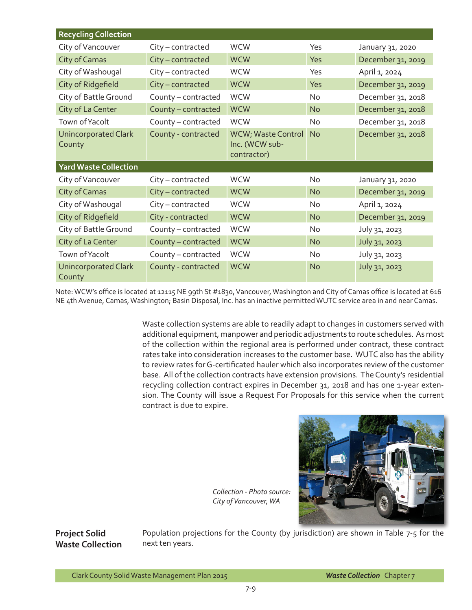| <b>Recycling Collection</b>           |                     |                                                     |           |                   |
|---------------------------------------|---------------------|-----------------------------------------------------|-----------|-------------------|
| City of Vancouver                     | City-contracted     | <b>WCW</b>                                          | Yes       | January 31, 2020  |
| City of Camas                         | City-contracted     | <b>WCW</b>                                          | Yes       | December 31, 2019 |
| City of Washougal                     | City-contracted     | <b>WCW</b>                                          | Yes       | April 1, 2024     |
| City of Ridgefield                    | City-contracted     | <b>WCW</b>                                          | Yes       | December 31, 2019 |
| City of Battle Ground                 | County - contracted | <b>WCW</b>                                          | No        | December 31, 2018 |
| City of La Center                     | County - contracted | <b>WCW</b>                                          | <b>No</b> | December 31, 2018 |
| Town of Yacolt                        | County - contracted | <b>WCW</b>                                          | No        | December 31, 2018 |
| <b>Unincorporated Clark</b><br>County | County - contracted | WCW; Waste Control<br>Inc. (WCW sub-<br>contractor) | <b>No</b> | December 31, 2018 |
| <b>Yard Waste Collection</b>          |                     |                                                     |           |                   |
| City of Vancouver                     | City-contracted     | <b>WCW</b>                                          | No        | January 31, 2020  |
| City of Camas                         | City-contracted     | <b>WCW</b>                                          | <b>No</b> | December 31, 2019 |
| City of Washougal                     | City-contracted     | <b>WCW</b>                                          | <b>No</b> | April 1, 2024     |
| City of Ridgefield                    | City - contracted   | <b>WCW</b>                                          | <b>No</b> | December 31, 2019 |
| City of Battle Ground                 | County-contracted   | <b>WCW</b>                                          | No        | July 31, 2023     |
| City of La Center                     | County - contracted | <b>WCW</b>                                          | <b>No</b> | July 31, 2023     |
| Town of Yacolt                        | County - contracted | <b>WCW</b>                                          | No        | July 31, 2023     |
| <b>Unincorporated Clark</b><br>County | County - contracted | <b>WCW</b>                                          | <b>No</b> | July 31, 2023     |

Note: WCW's office is located at 12115 NE 99th St #1830, Vancouver, Washington and City of Camas office is located at 616 NE 4th Avenue, Camas, Washington; Basin Disposal, Inc. has an inactive permitted WUTC service area in and near Camas.

> Waste collection systems are able to readily adapt to changes in customers served with additional equipment, manpower and periodic adjustments to route schedules. As most of the collection within the regional area is performed under contract, these contract rates take into consideration increases to the customer base. WUTC also has the ability to review rates for G-certificated hauler which also incorporates review of the customer base. All of the collection contracts have extension provisions. The County's residential recycling collection contract expires in December 31, 2018 and has one 1-year extension. The County will issue a Request For Proposals for this service when the current contract is due to expire.

*Collection - Photo source: City of Vancouver, WA*



**Project Solid Waste Collection**

Population projections for the County (by jurisdiction) are shown in Table 7-5 for the next ten years.